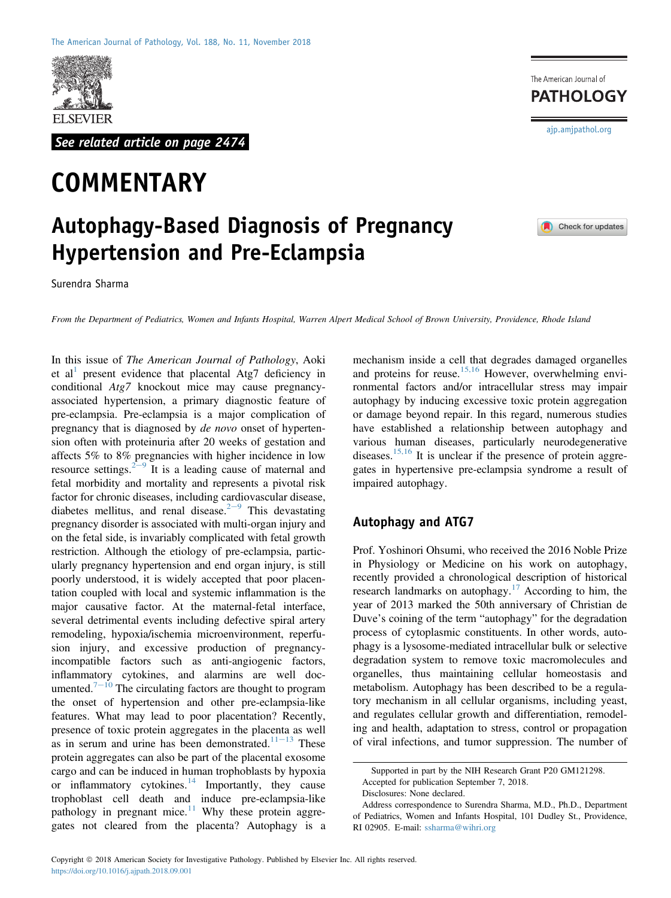

See related article on page 2474

# **COMMENTARY**

# Autophagy-Based Diagnosis of Pregnancy Hypertension and Pre-Eclampsia

Surendra Sharma

From the Department of Pediatrics, Women and Infants Hospital, Warren Alpert Medical School of Brown University, Providence, Rhode Island

In this issue of The American Journal of Pathology, Aoki et al<sup>[1](#page-2-0)</sup> present evidence that placental Atg7 deficiency in conditional Atg7 knockout mice may cause pregnancyassociated hypertension, a primary diagnostic feature of pre-eclampsia. Pre-eclampsia is a major complication of pregnancy that is diagnosed by *de novo* onset of hypertension often with proteinuria after 20 weeks of gestation and affects 5% to 8% pregnancies with higher incidence in low resource settings.<sup>[2](#page-2-1)-[9](#page-2-1)</sup> It is a leading cause of maternal and fetal morbidity and mortality and represents a pivotal risk factor for chronic diseases, including cardiovascular disease, diabetes mellitus, and renal disease.<sup>[2](#page-2-1)-[9](#page-2-1)</sup> This devastating pregnancy disorder is associated with multi-organ injury and on the fetal side, is invariably complicated with fetal growth restriction. Although the etiology of pre-eclampsia, particularly pregnancy hypertension and end organ injury, is still poorly understood, it is widely accepted that poor placentation coupled with local and systemic inflammation is the major causative factor. At the maternal-fetal interface, several detrimental events including defective spiral artery remodeling, hypoxia/ischemia microenvironment, reperfusion injury, and excessive production of pregnancyincompatible factors such as anti-angiogenic factors, inflammatory cytokines, and alarmins are well doc-umented.<sup>[7](#page-2-2)-[10](#page-2-2)</sup> The circulating factors are thought to program the onset of hypertension and other pre-eclampsia-like features. What may lead to poor placentation? Recently, presence of toxic protein aggregates in the placenta as well as in serum and urine has been demonstrated.<sup>[11](#page-2-3)-[13](#page-2-3)</sup> These protein aggregates can also be part of the placental exosome cargo and can be induced in human trophoblasts by hypoxia or inflammatory cytokines.<sup>[14](#page-2-4)</sup> Importantly, they cause trophoblast cell death and induce pre-eclampsia-like pathology in pregnant mice. $11$  Why these protein aggregates not cleared from the placenta? Autophagy is a

mechanism inside a cell that degrades damaged organelles and proteins for reuse.<sup>[15,16](#page-2-5)</sup> However, overwhelming environmental factors and/or intracellular stress may impair autophagy by inducing excessive toxic protein aggregation or damage beyond repair. In this regard, numerous studies have established a relationship between autophagy and various human diseases, particularly neurodegenerative diseases.<sup>[15,16](#page-2-5)</sup> It is unclear if the presence of protein aggregates in hypertensive pre-eclampsia syndrome a result of impaired autophagy.

#### Autophagy and ATG7

Prof. Yoshinori Ohsumi, who received the 2016 Noble Prize in Physiology or Medicine on his work on autophagy, recently provided a chronological description of historical research landmarks on autophagy. $17$  According to him, the year of 2013 marked the 50th anniversary of Christian de Duve's coining of the term "autophagy" for the degradation process of cytoplasmic constituents. In other words, autophagy is a lysosome-mediated intracellular bulk or selective degradation system to remove toxic macromolecules and organelles, thus maintaining cellular homeostasis and metabolism. Autophagy has been described to be a regulatory mechanism in all cellular organisms, including yeast, and regulates cellular growth and differentiation, remodeling and health, adaptation to stress, control or propagation of viral infections, and tumor suppression. The number of

**PATHOLOGY** [ajp.amjpathol.org](http://ajp.amjpathol.org)

Check for updates

The American Journal of

Supported in part by the NIH Research Grant P20 GM121298.

Accepted for publication September 7, 2018.

Disclosures: None declared.

Address correspondence to Surendra Sharma, M.D., Ph.D., Department of Pediatrics, Women and Infants Hospital, 101 Dudley St., Providence, RI 02905. E-mail: [ssharma@wihri.org](mailto:ssharma@wihri.org)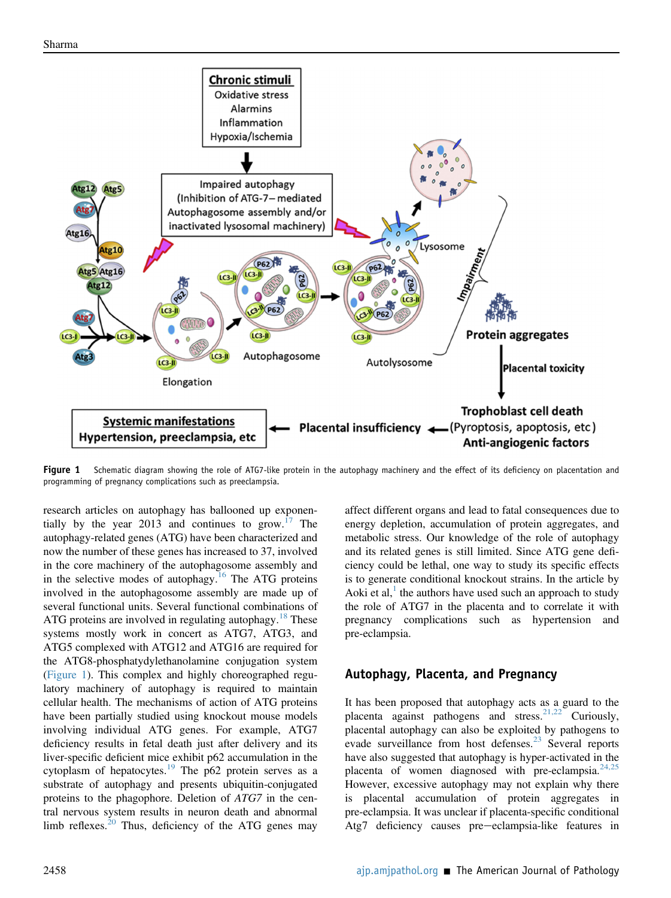<span id="page-1-0"></span>

Fiqure 1 Schematic diagram showing the role of ATG7-like protein in the autophagy machinery and the effect of its deficiency on placentation and programming of pregnancy complications such as preeclampsia.

research articles on autophagy has ballooned up exponen-tially by the year 2013 and continues to grow.<sup>[17](#page-2-6)</sup> The autophagy-related genes (ATG) have been characterized and now the number of these genes has increased to 37, involved in the core machinery of the autophagosome assembly and in the selective modes of autophagy.<sup>[16](#page-2-7)</sup> The ATG proteins involved in the autophagosome assembly are made up of several functional units. Several functional combinations of ATG proteins are involved in regulating autophagy.<sup>[18](#page-2-8)</sup> These systems mostly work in concert as ATG7, ATG3, and ATG5 complexed with ATG12 and ATG16 are required for the ATG8-phosphatydylethanolamine conjugation system [\(Figure 1\)](#page-1-0). This complex and highly choreographed regulatory machinery of autophagy is required to maintain cellular health. The mechanisms of action of ATG proteins have been partially studied using knockout mouse models involving individual ATG genes. For example, ATG7 deficiency results in fetal death just after delivery and its liver-specific deficient mice exhibit p62 accumulation in the cytoplasm of hepatocytes.<sup>[19](#page-2-9)</sup> The p62 protein serves as a substrate of autophagy and presents ubiquitin-conjugated proteins to the phagophore. Deletion of ATG7 in the central nervous system results in neuron death and abnormal limb reflexes. $20$  Thus, deficiency of the ATG genes may affect different organs and lead to fatal consequences due to energy depletion, accumulation of protein aggregates, and metabolic stress. Our knowledge of the role of autophagy and its related genes is still limited. Since ATG gene deficiency could be lethal, one way to study its specific effects is to generate conditional knockout strains. In the article by Aoki et al, $\frac{1}{1}$  the authors have used such an approach to study the role of ATG7 in the placenta and to correlate it with pregnancy complications such as hypertension and pre-eclampsia.

## Autophagy, Placenta, and Pregnancy

It has been proposed that autophagy acts as a guard to the placenta against pathogens and stress.<sup>21,22</sup> Curiously, placental autophagy can also be exploited by pathogens to evade surveillance from host defenses.<sup>[23](#page-3-0)</sup> Several reports have also suggested that autophagy is hyper-activated in the placenta of women diagnosed with pre-eclampsia. $24,25$ However, excessive autophagy may not explain why there is placental accumulation of protein aggregates in pre-eclampsia. It was unclear if placenta-specific conditional Atg7 deficiency causes pre-eclampsia-like features in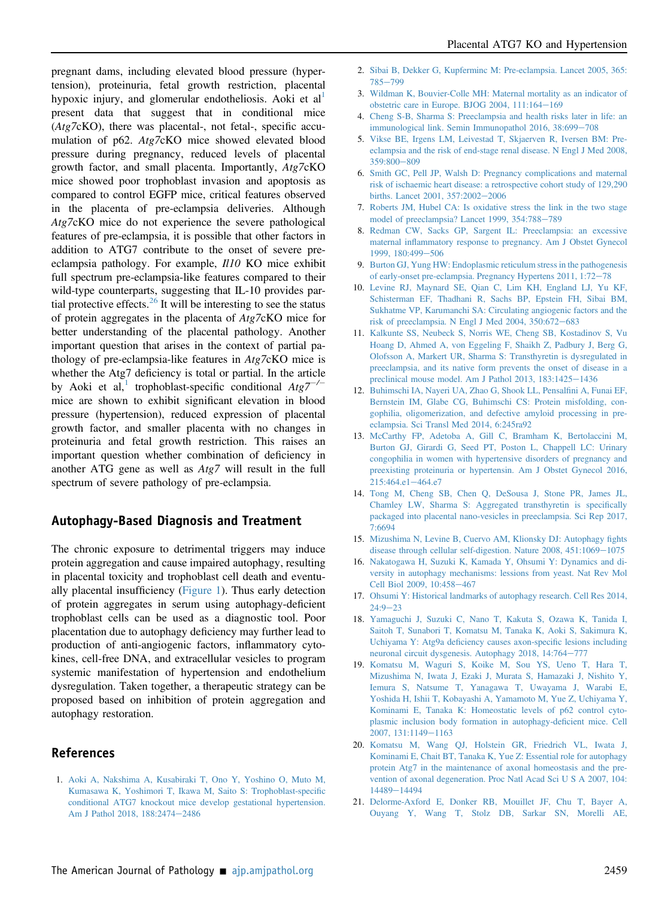pregnant dams, including elevated blood pressure (hypertension), proteinuria, fetal growth restriction, placental hypoxic injury, and glomerular endotheliosis. Aoki et al present data that suggest that in conditional mice (Atg7cKO), there was placental-, not fetal-, specific accumulation of p62. Atg7cKO mice showed elevated blood pressure during pregnancy, reduced levels of placental growth factor, and small placenta. Importantly, Atg7cKO mice showed poor trophoblast invasion and apoptosis as compared to control EGFP mice, critical features observed in the placenta of pre-eclampsia deliveries. Although Atg7cKO mice do not experience the severe pathological features of pre-eclampsia, it is possible that other factors in addition to ATG7 contribute to the onset of severe preeclampsia pathology. For example, Il10 KO mice exhibit full spectrum pre-eclampsia-like features compared to their wild-type counterparts, suggesting that IL-10 provides par-tial protective effects.<sup>[26](#page-3-2)</sup> It will be interesting to see the status of protein aggregates in the placenta of Atg7cKO mice for better understanding of the placental pathology. Another important question that arises in the context of partial pathology of pre-eclampsia-like features in Atg7cKO mice is whether the Atg7 deficiency is total or partial. In the article by Aoki et al,<sup>[1](#page-2-0)</sup> trophoblast-specific conditional  $Atg7^{-/-}$ mice are shown to exhibit significant elevation in blood pressure (hypertension), reduced expression of placental growth factor, and smaller placenta with no changes in proteinuria and fetal growth restriction. This raises an important question whether combination of deficiency in another ATG gene as well as Atg7 will result in the full spectrum of severe pathology of pre-eclampsia.

## Autophagy-Based Diagnosis and Treatment

The chronic exposure to detrimental triggers may induce protein aggregation and cause impaired autophagy, resulting in placental toxicity and trophoblast cell death and eventually placental insufficiency ([Figure 1\)](#page-1-0). Thus early detection of protein aggregates in serum using autophagy-deficient trophoblast cells can be used as a diagnostic tool. Poor placentation due to autophagy deficiency may further lead to production of anti-angiogenic factors, inflammatory cytokines, cell-free DNA, and extracellular vesicles to program systemic manifestation of hypertension and endothelium dysregulation. Taken together, a therapeutic strategy can be proposed based on inhibition of protein aggregation and autophagy restoration.

#### <span id="page-2-0"></span>References

1. [Aoki A, Nakshima A, Kusabiraki T, Ono Y, Yoshino O, Muto M,](http://refhub.elsevier.com/S0002-9440(18)30688-6/sref1) [Kumasawa K, Yoshimori T, Ikawa M, Saito S: Trophoblast-speci](http://refhub.elsevier.com/S0002-9440(18)30688-6/sref1)fic [conditional ATG7 knockout mice develop gestational hypertension.](http://refhub.elsevier.com/S0002-9440(18)30688-6/sref1) [Am J Pathol 2018, 188:2474](http://refhub.elsevier.com/S0002-9440(18)30688-6/sref1)-[2486](http://refhub.elsevier.com/S0002-9440(18)30688-6/sref1)

- <span id="page-2-1"></span>2. [Sibai B, Dekker G, Kupferminc M: Pre-eclampsia. Lancet 2005, 365:](http://refhub.elsevier.com/S0002-9440(18)30688-6/sref2) [785](http://refhub.elsevier.com/S0002-9440(18)30688-6/sref2)-[799](http://refhub.elsevier.com/S0002-9440(18)30688-6/sref2)
- 3. [Wildman K, Bouvier-Colle MH: Maternal mortality as an indicator of](http://refhub.elsevier.com/S0002-9440(18)30688-6/sref3) obstetric care in Europe. BJOG 2004,  $111:164-169$  $111:164-169$
- 4. [Cheng S-B, Sharma S: Preeclampsia and health risks later in life: an](http://refhub.elsevier.com/S0002-9440(18)30688-6/sref4) [immunological link. Semin Immunopathol 2016, 38:699](http://refhub.elsevier.com/S0002-9440(18)30688-6/sref4)-[708](http://refhub.elsevier.com/S0002-9440(18)30688-6/sref4)
- 5. [Vikse BE, Irgens LM, Leivestad T, Skjaerven R, Iversen BM: Pre](http://refhub.elsevier.com/S0002-9440(18)30688-6/sref5)[eclampsia and the risk of end-stage renal disease. N Engl J Med 2008,](http://refhub.elsevier.com/S0002-9440(18)30688-6/sref5) [359:800](http://refhub.elsevier.com/S0002-9440(18)30688-6/sref5)-[809](http://refhub.elsevier.com/S0002-9440(18)30688-6/sref5)
- 6. [Smith GC, Pell JP, Walsh D: Pregnancy complications and maternal](http://refhub.elsevier.com/S0002-9440(18)30688-6/sref6) [risk of ischaemic heart disease: a retrospective cohort study of 129,290](http://refhub.elsevier.com/S0002-9440(18)30688-6/sref6) [births. Lancet 2001, 357:2002](http://refhub.elsevier.com/S0002-9440(18)30688-6/sref6)-[2006](http://refhub.elsevier.com/S0002-9440(18)30688-6/sref6)
- <span id="page-2-2"></span>7. [Roberts JM, Hubel CA: Is oxidative stress the link in the two stage](http://refhub.elsevier.com/S0002-9440(18)30688-6/sref7) [model of preeclampsia? Lancet 1999, 354:788](http://refhub.elsevier.com/S0002-9440(18)30688-6/sref7)-[789](http://refhub.elsevier.com/S0002-9440(18)30688-6/sref7)
- 8. [Redman CW, Sacks GP, Sargent IL: Preeclampsia: an excessive](http://refhub.elsevier.com/S0002-9440(18)30688-6/sref8) maternal infl[ammatory response to pregnancy. Am J Obstet Gynecol](http://refhub.elsevier.com/S0002-9440(18)30688-6/sref8) [1999, 180:499](http://refhub.elsevier.com/S0002-9440(18)30688-6/sref8)-[506](http://refhub.elsevier.com/S0002-9440(18)30688-6/sref8)
- 9. [Burton GJ, Yung HW: Endoplasmic reticulum stress in the pathogenesis](http://refhub.elsevier.com/S0002-9440(18)30688-6/sref9) [of early-onset pre-eclampsia. Pregnancy Hypertens 2011, 1:72](http://refhub.elsevier.com/S0002-9440(18)30688-6/sref9)-[78](http://refhub.elsevier.com/S0002-9440(18)30688-6/sref9)
- 10. [Levine RJ, Maynard SE, Qian C, Lim KH, England LJ, Yu KF,](http://refhub.elsevier.com/S0002-9440(18)30688-6/sref10) [Schisterman EF, Thadhani R, Sachs BP, Epstein FH, Sibai BM,](http://refhub.elsevier.com/S0002-9440(18)30688-6/sref10) [Sukhatme VP, Karumanchi SA: Circulating angiogenic factors and the](http://refhub.elsevier.com/S0002-9440(18)30688-6/sref10) [risk of preeclampsia. N Engl J Med 2004, 350:672](http://refhub.elsevier.com/S0002-9440(18)30688-6/sref10)-[683](http://refhub.elsevier.com/S0002-9440(18)30688-6/sref10)
- <span id="page-2-3"></span>11. [Kalkunte SS, Neubeck S, Norris WE, Cheng SB, Kostadinov S, Vu](http://refhub.elsevier.com/S0002-9440(18)30688-6/sref11) [Hoang D, Ahmed A, von Eggeling F, Shaikh Z, Padbury J, Berg G,](http://refhub.elsevier.com/S0002-9440(18)30688-6/sref11) [Olofsson A, Markert UR, Sharma S: Transthyretin is dysregulated in](http://refhub.elsevier.com/S0002-9440(18)30688-6/sref11) [preeclampsia, and its native form prevents the onset of disease in a](http://refhub.elsevier.com/S0002-9440(18)30688-6/sref11) [preclinical mouse model. Am J Pathol 2013, 183:1425](http://refhub.elsevier.com/S0002-9440(18)30688-6/sref11)-[1436](http://refhub.elsevier.com/S0002-9440(18)30688-6/sref11)
- 12. [Buhimschi IA, Nayeri UA, Zhao G, Shook LL, Pensal](http://refhub.elsevier.com/S0002-9440(18)30688-6/sref12)fini A, Funai EF, [Bernstein IM, Glabe CG, Buhimschi CS: Protein misfolding, con](http://refhub.elsevier.com/S0002-9440(18)30688-6/sref12)[gophilia, oligomerization, and defective amyloid processing in pre](http://refhub.elsevier.com/S0002-9440(18)30688-6/sref12)[eclampsia. Sci Transl Med 2014, 6:245ra92](http://refhub.elsevier.com/S0002-9440(18)30688-6/sref12)
- 13. [McCarthy FP, Adetoba A, Gill C, Bramham K, Bertolaccini M,](http://refhub.elsevier.com/S0002-9440(18)30688-6/sref13) [Burton GJ, Girardi G, Seed PT, Poston L, Chappell LC: Urinary](http://refhub.elsevier.com/S0002-9440(18)30688-6/sref13) [congophilia in women with hypertensive disorders of pregnancy and](http://refhub.elsevier.com/S0002-9440(18)30688-6/sref13) [preexisting proteinuria or hypertensin. Am J Obstet Gynecol 2016,](http://refhub.elsevier.com/S0002-9440(18)30688-6/sref13) [215:464.e1](http://refhub.elsevier.com/S0002-9440(18)30688-6/sref13)-[464.e7](http://refhub.elsevier.com/S0002-9440(18)30688-6/sref13)
- <span id="page-2-4"></span>14. [Tong M, Cheng SB, Chen Q, DeSousa J, Stone PR, James JL,](http://refhub.elsevier.com/S0002-9440(18)30688-6/sref14) [Chamley LW, Sharma S: Aggregated transthyretin is speci](http://refhub.elsevier.com/S0002-9440(18)30688-6/sref14)fically [packaged into placental nano-vesicles in preeclampsia. Sci Rep 2017,](http://refhub.elsevier.com/S0002-9440(18)30688-6/sref14) [7:6694](http://refhub.elsevier.com/S0002-9440(18)30688-6/sref14)
- <span id="page-2-5"></span>15. [Mizushima N, Levine B, Cuervo AM, Klionsky DJ: Autophagy](http://refhub.elsevier.com/S0002-9440(18)30688-6/sref15) fights disease through cellular self-digestion. Nature  $2008$ ,  $451:1069-1075$  $451:1069-1075$
- <span id="page-2-7"></span>16. [Nakatogawa H, Suzuki K, Kamada Y, Ohsumi Y: Dynamics and di](http://refhub.elsevier.com/S0002-9440(18)30688-6/sref16)[versity in autophagy mechanisms: lessions from yeast. Nat Rev Mol](http://refhub.elsevier.com/S0002-9440(18)30688-6/sref16) [Cell Biol 2009, 10:458](http://refhub.elsevier.com/S0002-9440(18)30688-6/sref16)-[467](http://refhub.elsevier.com/S0002-9440(18)30688-6/sref16)
- <span id="page-2-6"></span>17. [Ohsumi Y: Historical landmarks of autophagy research. Cell Res 2014,](http://refhub.elsevier.com/S0002-9440(18)30688-6/sref17)  $24.9 - 23$  $24.9 - 23$
- <span id="page-2-8"></span>18. [Yamaguchi J, Suzuki C, Nano T, Kakuta S, Ozawa K, Tanida I,](http://refhub.elsevier.com/S0002-9440(18)30688-6/sref18) [Saitoh T, Sunabori T, Komatsu M, Tanaka K, Aoki S, Sakimura K,](http://refhub.elsevier.com/S0002-9440(18)30688-6/sref18) Uchiyama Y: Atg9a defi[ciency causes axon-speci](http://refhub.elsevier.com/S0002-9440(18)30688-6/sref18)fic lesions including [neuronal circuit dysgenesis. Autophagy 2018, 14:764](http://refhub.elsevier.com/S0002-9440(18)30688-6/sref18)-[777](http://refhub.elsevier.com/S0002-9440(18)30688-6/sref18)
- <span id="page-2-9"></span>19. [Komatsu M, Waguri S, Koike M, Sou YS, Ueno T, Hara T,](http://refhub.elsevier.com/S0002-9440(18)30688-6/sref19) [Mizushima N, Iwata J, Ezaki J, Murata S, Hamazaki J, Nishito Y,](http://refhub.elsevier.com/S0002-9440(18)30688-6/sref19) [Iemura S, Natsume T, Yanagawa T, Uwayama J, Warabi E,](http://refhub.elsevier.com/S0002-9440(18)30688-6/sref19) [Yoshida H, Ishii T, Kobayashi A, Yamamoto M, Yue Z, Uchiyama Y,](http://refhub.elsevier.com/S0002-9440(18)30688-6/sref19) [Kominami E, Tanaka K: Homeostatic levels of p62 control cyto](http://refhub.elsevier.com/S0002-9440(18)30688-6/sref19)[plasmic inclusion body formation in autophagy-de](http://refhub.elsevier.com/S0002-9440(18)30688-6/sref19)ficient mice. Cell [2007, 131:1149](http://refhub.elsevier.com/S0002-9440(18)30688-6/sref19)-[1163](http://refhub.elsevier.com/S0002-9440(18)30688-6/sref19)
- <span id="page-2-10"></span>20. [Komatsu M, Wang QJ, Holstein GR, Friedrich VL, Iwata J,](http://refhub.elsevier.com/S0002-9440(18)30688-6/sref20) [Kominami E, Chait BT, Tanaka K, Yue Z: Essential role for autophagy](http://refhub.elsevier.com/S0002-9440(18)30688-6/sref20) [protein Atg7 in the maintenance of axonal homeostasis and the pre](http://refhub.elsevier.com/S0002-9440(18)30688-6/sref20)[vention of axonal degeneration. Proc Natl Acad Sci U S A 2007, 104:](http://refhub.elsevier.com/S0002-9440(18)30688-6/sref20) [14489](http://refhub.elsevier.com/S0002-9440(18)30688-6/sref20)-[14494](http://refhub.elsevier.com/S0002-9440(18)30688-6/sref20)
- <span id="page-2-11"></span>21. [Delorme-Axford E, Donker RB, Mouillet JF, Chu T, Bayer A,](http://refhub.elsevier.com/S0002-9440(18)30688-6/sref21) [Ouyang Y, Wang T, Stolz DB, Sarkar SN, Morelli AE,](http://refhub.elsevier.com/S0002-9440(18)30688-6/sref21)